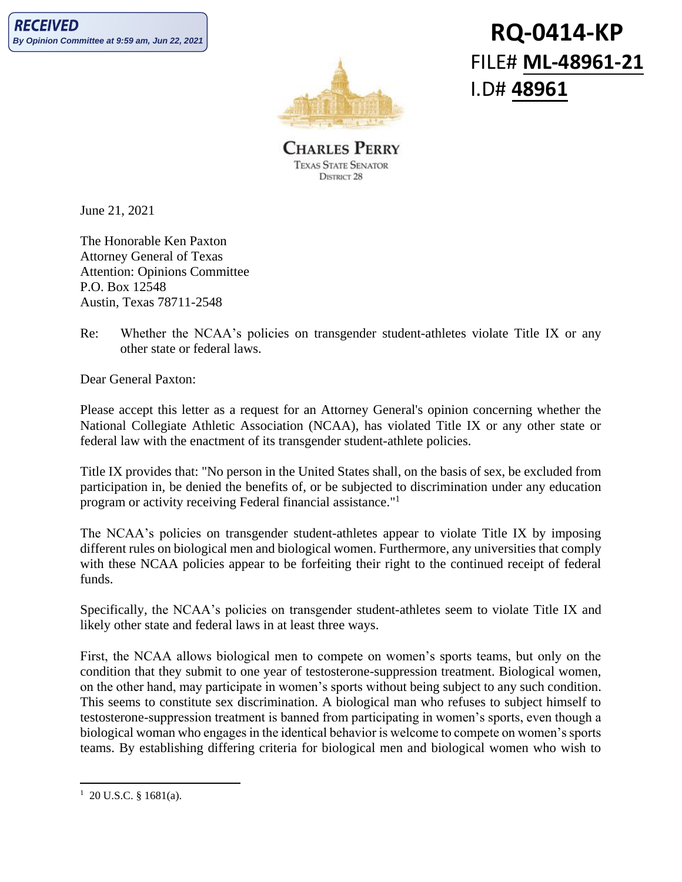

## **RQ-0414-KP** FILE# **ML-48961-21** I.D# **48961**

**CHARLES PERRY TEXAS STATE SENATOR** DISTRICT 28

June 21, 2021

The Honorable Ken Paxton Attorney General of Texas Attention: Opinions Committee P.O. Box 12548 Austin, Texas 78711-2548

Re: Whether the NCAA's policies on transgender student-athletes violate Title IX or any other state or federal laws.

Dear General Paxton:

Please accept this letter as a request for an Attorney General's opinion concerning whether the National Collegiate Athletic Association (NCAA), has violated Title IX or any other state or federal law with the enactment of its transgender student-athlete policies.

Title IX provides that: "No person in the United States shall, on the basis of sex, be excluded from participation in, be denied the benefits of, or be subjected to discrimination under any education program or activity receiving Federal financial assistance." 1

The NCAA's policies on transgender student-athletes appear to violate Title IX by imposing different rules on biological men and biological women. Furthermore, any universities that comply with these NCAA policies appear to be forfeiting their right to the continued receipt of federal funds.

Specifically, the NCAA's policies on transgender student-athletes seem to violate Title IX and likely other state and federal laws in at least three ways.

First, the NCAA allows biological men to compete on women's sports teams, but only on the condition that they submit to one year of testosterone-suppression treatment. Biological women, on the other hand, may participate in women's sports without being subject to any such condition. This seems to constitute sex discrimination. A biological man who refuses to subject himself to testosterone-suppression treatment is banned from participating in women's sports, even though a biological woman who engages in the identical behavior is welcome to compete on women's sports teams. By establishing differing criteria for biological men and biological women who wish to

 $1\,$  20 U.S.C. § 1681(a).